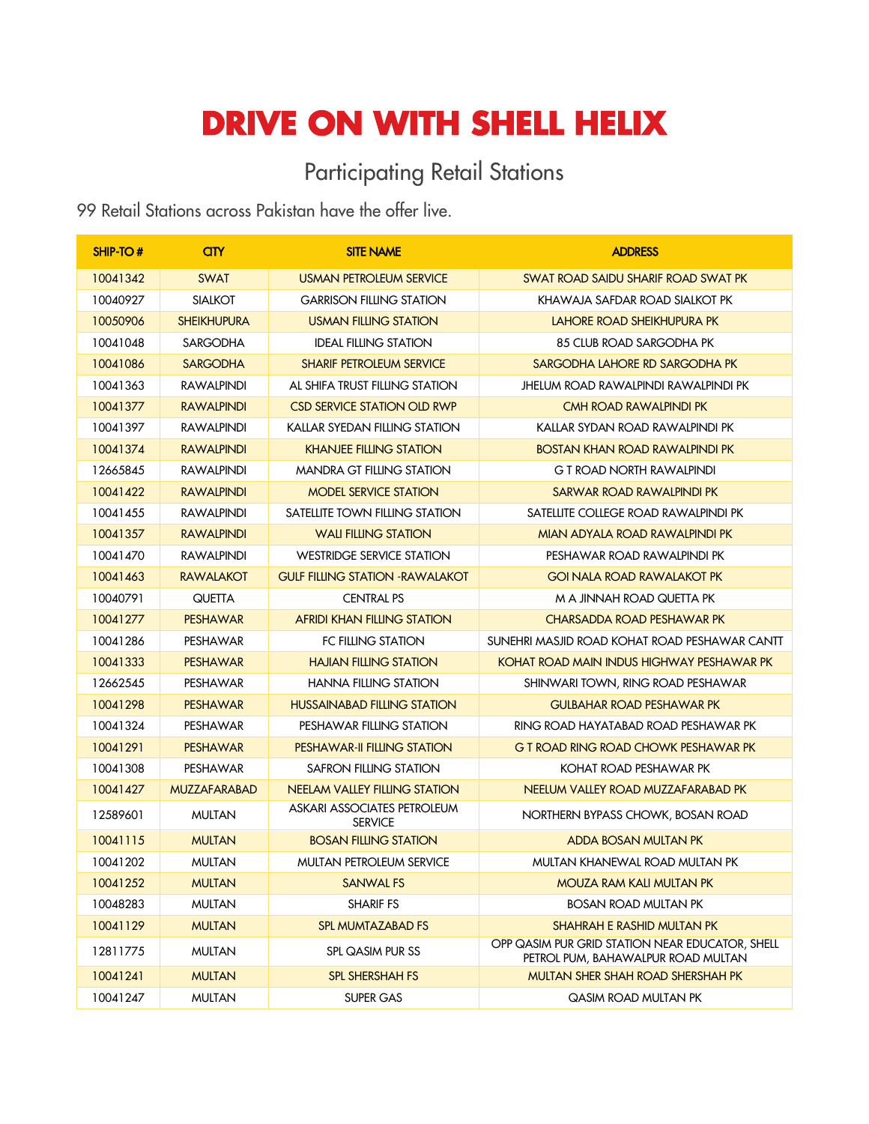## **DRIVE ON WITH SHELL HELIX**

## Participating Retail Stations

Retail Stations across Pakistan have the offer live.

| SHIP-TO# | <b>GTY</b>          | <b>SITE NAME</b>                              | <b>ADDRESS</b>                                                                        |
|----------|---------------------|-----------------------------------------------|---------------------------------------------------------------------------------------|
| 10041342 | <b>SWAT</b>         | <b>USMAN PETROLEUM SERVICE</b>                | <b>SWAT ROAD SAIDU SHARIF ROAD SWAT PK</b>                                            |
| 10040927 | <b>SIALKOT</b>      | <b>GARRISON FILLING STATION</b>               | KHAWAJA SAFDAR ROAD SIALKOT PK                                                        |
| 10050906 | <b>SHEIKHUPURA</b>  | <b>USMAN FILLING STATION</b>                  | LAHORE ROAD SHEIKHUPURA PK                                                            |
| 10041048 | SARGODHA            | <b>IDEAL FILLING STATION</b>                  | 85 CLUB ROAD SARGODHA PK                                                              |
| 10041086 | <b>SARGODHA</b>     | <b>SHARIF PETROLEUM SERVICE</b>               | SARGODHA LAHORE RD SARGODHA PK                                                        |
| 10041363 | RAWALPINDI          | AL SHIFA TRUST FILLING STATION                | JHELUM ROAD RAWALPINDI RAWALPINDI PK                                                  |
| 10041377 | <b>RAWALPINDI</b>   | <b>CSD SERVICE STATION OLD RWP</b>            | CMH ROAD RAWALPINDI PK                                                                |
| 10041397 | RAWALPINDI          | KALLAR SYEDAN FILLING STATION                 | KALLAR SYDAN ROAD RAWALPINDI PK                                                       |
| 10041374 | <b>RAWALPINDI</b>   | <b>KHANJEE FILLING STATION</b>                | <b>BOSTAN KHAN ROAD RAWALPINDI PK</b>                                                 |
| 12665845 | RAWALPINDI          | <b>MANDRA GT FILLING STATION</b>              | G T ROAD NORTH RAWALPINDI                                                             |
| 10041422 | <b>RAWALPINDI</b>   | <b>MODEL SERVICE STATION</b>                  | SARWAR ROAD RAWALPINDI PK                                                             |
| 10041455 | RAWALPINDI          | SATELLITE TOWN FILLING STATION                | SATELLITE COLLEGE ROAD RAWALPINDI PK                                                  |
| 10041357 | <b>RAWALPINDI</b>   | <b>WALI FILLING STATION</b>                   | MIAN ADYALA ROAD RAWALPINDI PK                                                        |
| 10041470 | <b>RAWALPINDI</b>   | <b>WESTRIDGE SERVICE STATION</b>              | PESHAWAR ROAD RAWALPINDI PK                                                           |
| 10041463 | <b>RAWALAKOT</b>    | <b>GULF FILLING STATION - RAWALAKOT</b>       | <b>GOI NALA ROAD RAWALAKOT PK</b>                                                     |
| 10040791 | QUETTA              | <b>CENTRAL PS</b>                             | M A JINNAH ROAD QUETTA PK                                                             |
| 10041277 | <b>PESHAWAR</b>     | <b>AFRIDI KHAN FILLING STATION</b>            | <b>CHARSADDA ROAD PESHAWAR PK</b>                                                     |
| 10041286 | PESHAWAR            | FC FILLING STATION                            | SUNEHRI MASJID ROAD KOHAT ROAD PESHAWAR CANTT                                         |
| 10041333 | <b>PESHAWAR</b>     | <b>HAJIAN FILLING STATION</b>                 | KOHAT ROAD MAIN INDUS HIGHWAY PESHAWAR PK                                             |
| 12662545 | PESHAWAR            | <b>HANNA FILLING STATION</b>                  | SHINWARI TOWN, RING ROAD PESHAWAR                                                     |
| 10041298 | <b>PESHAWAR</b>     | <b>HUSSAINABAD FILLING STATION</b>            | <b>GULBAHAR ROAD PESHAWAR PK</b>                                                      |
| 10041324 | PESHAWAR            | PESHAWAR FILLING STATION                      | RING ROAD HAYATABAD ROAD PESHAWAR PK                                                  |
| 10041291 | <b>PESHAWAR</b>     | <b>PESHAWAR-II FILLING STATION</b>            | G T ROAD RING ROAD CHOWK PESHAWAR PK                                                  |
| 10041308 | PESHAWAR            | SAFRON FILLING STATION                        | KOHAT ROAD PESHAWAR PK                                                                |
| 10041427 | <b>MUZZAFARABAD</b> | <b>NEELAM VALLEY FILLING STATION</b>          | NEELUM VALLEY ROAD MUZZAFARABAD PK                                                    |
| 12589601 | <b>MULTAN</b>       | ASKARI ASSOCIATES PETROLEUM<br><b>SERVICE</b> | NORTHERN BYPASS CHOWK, BOSAN ROAD                                                     |
| 10041115 | <b>MULTAN</b>       | <b>BOSAN FILLING STATION</b>                  | ADDA BOSAN MULTAN PK                                                                  |
| 10041202 | <b>MULTAN</b>       | MULTAN PETROLEUM SERVICE                      | MULTAN KHANEWAL ROAD MULTAN PK                                                        |
| 10041252 | <b>MULTAN</b>       | <b>SANWAL FS</b>                              | MOUZA RAM KALI MULTAN PK                                                              |
| 10048283 | <b>MULTAN</b>       | <b>SHARIF FS</b>                              | BOSAN ROAD MULTAN PK                                                                  |
| 10041129 | <b>MULTAN</b>       | <b>SPL MUMTAZABAD FS</b>                      | <b>SHAHRAH E RASHID MULTAN PK</b>                                                     |
| 12811775 | <b>MULTAN</b>       | SPL QASIM PUR SS                              | OPP QASIM PUR GRID STATION NEAR EDUCATOR, SHELL<br>PETROL PUM, BAHAWALPUR ROAD MULTAN |
| 10041241 | <b>MULTAN</b>       | <b>SPL SHERSHAH FS</b>                        | MULTAN SHER SHAH ROAD SHERSHAH PK                                                     |
| 10041247 | <b>MULTAN</b>       | SUPER GAS                                     | QASIM ROAD MULTAN PK                                                                  |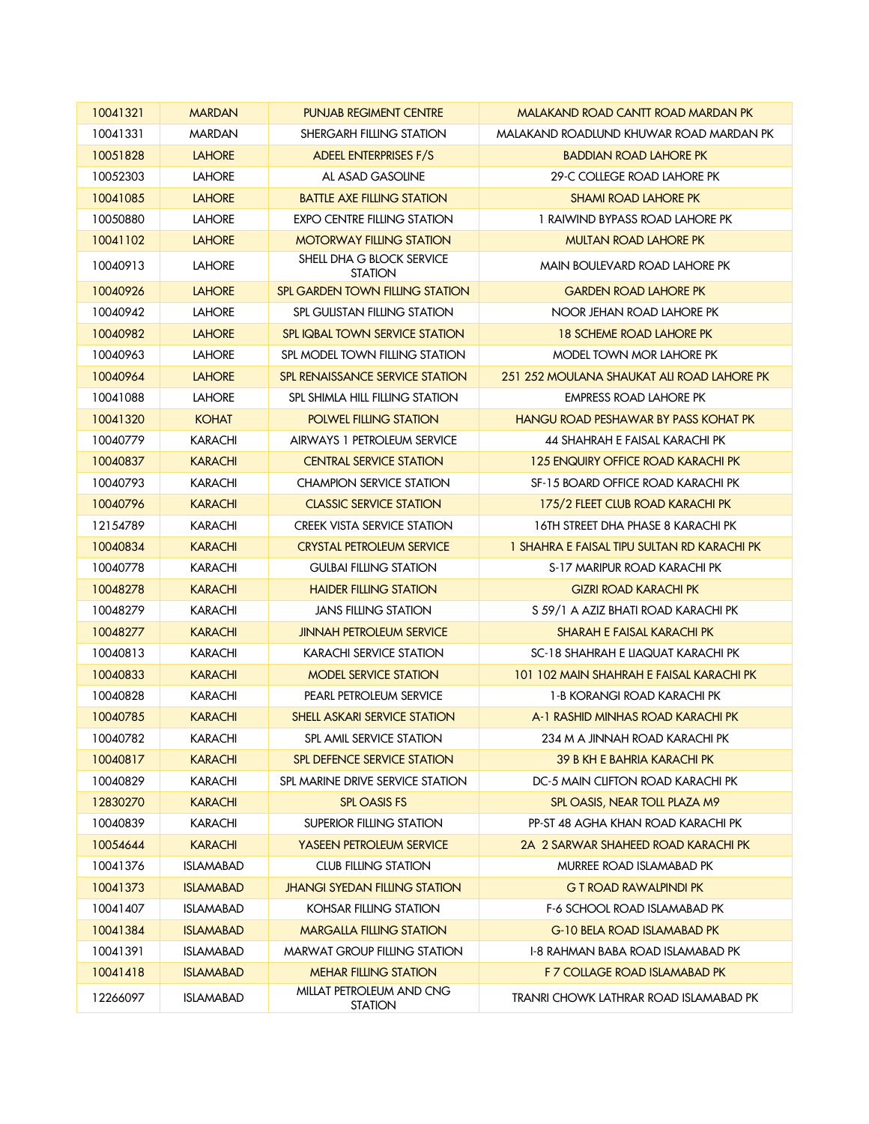| 10041321 | <b>MARDAN</b>    | <b>PUNJAB REGIMENT CENTRE</b>               | MALAKAND ROAD CANTT ROAD MARDAN PK                 |
|----------|------------------|---------------------------------------------|----------------------------------------------------|
| 10041331 | <b>MARDAN</b>    | SHERGARH FILLING STATION                    | MALAKAND ROADLUND KHUWAR ROAD MARDAN PK            |
| 10051828 | <b>LAHORE</b>    | <b>ADEEL ENTERPRISES F/S</b>                | <b>BADDIAN ROAD LAHORE PK</b>                      |
| 10052303 | <b>LAHORE</b>    | AL ASAD GASOLINE                            | 29-C COLLEGE ROAD LAHORE PK                        |
| 10041085 | <b>LAHORE</b>    | <b>BATTLE AXE FILLING STATION</b>           | <b>SHAMI ROAD LAHORE PK</b>                        |
| 10050880 | <b>LAHORE</b>    | <b>EXPO CENTRE FILLING STATION</b>          | 1 RAIWIND BYPASS ROAD LAHORE PK                    |
| 10041102 | <b>LAHORE</b>    | <b>MOTORWAY FILLING STATION</b>             | <b>MULTAN ROAD LAHORE PK</b>                       |
| 10040913 | <b>LAHORE</b>    | SHELL DHA G BLOCK SERVICE<br><b>STATION</b> | MAIN BOULEVARD ROAD LAHORE PK                      |
| 10040926 | <b>LAHORE</b>    | SPL GARDEN TOWN FILLING STATION             | <b>GARDEN ROAD LAHORE PK</b>                       |
| 10040942 | <b>LAHORE</b>    | SPL GULISTAN FILLING STATION                | NOOR JEHAN ROAD LAHORE PK                          |
| 10040982 | <b>LAHORE</b>    | <b>SPL IQBAL TOWN SERVICE STATION</b>       | <b>18 SCHEME ROAD LAHORE PK</b>                    |
| 10040963 | <b>LAHORE</b>    | SPL MODEL TOWN FILLING STATION              | MODEL TOWN MOR LAHORE PK                           |
| 10040964 | <b>LAHORE</b>    | <b>SPL RENAISSANCE SERVICE STATION</b>      | 251 252 MOULANA SHAUKAT ALI ROAD LAHORE PK         |
| 10041088 | <b>LAHORE</b>    | SPL SHIMLA HILL FILLING STATION             | EMPRESS ROAD LAHORE PK                             |
| 10041320 | <b>KOHAT</b>     | <b>POLWEL FILLING STATION</b>               | <b>HANGU ROAD PESHAWAR BY PASS KOHAT PK</b>        |
| 10040779 | KARACHI          | AIRWAYS 1 PETROLEUM SERVICE                 | 44 SHAHRAH E FAISAL KARACHI PK                     |
| 10040837 | <b>KARACHI</b>   | <b>CENTRAL SERVICE STATION</b>              | 125 ENQUIRY OFFICE ROAD KARACHI PK                 |
| 10040793 | KARACHI          | <b>CHAMPION SERVICE STATION</b>             | SF-15 BOARD OFFICE ROAD KARACHI PK                 |
| 10040796 | <b>KARACHI</b>   | <b>CLASSIC SERVICE STATION</b>              | 175/2 FLEET CLUB ROAD KARACHI PK                   |
| 12154789 | KARACHI          | <b>CREEK VISTA SERVICE STATION</b>          | 16TH STREET DHA PHASE 8 KARACHI PK                 |
| 10040834 | <b>KARACHI</b>   | <b>CRYSTAL PETROLEUM SERVICE</b>            | <u>I SHAHRA E FAISAL TIPU SULTAN RD KARACHI PK</u> |
| 10040778 | KARACHI          | <b>GULBAI FILLING STATION</b>               | S-17 MARIPUR ROAD KARACHI PK                       |
| 10048278 | <b>KARACHI</b>   | <b>HAIDER FILLING STATION</b>               | <b>GIZRI ROAD KARACHI PK</b>                       |
| 10048279 | KARACHI          | JANS FILLING STATION                        | S 59/1 A AZIZ BHATI ROAD KARACHI PK                |
| 10048277 | <b>KARACHI</b>   | <b>JINNAH PETROLEUM SERVICE</b>             | <b>SHARAH E FAISAL KARACHI PK</b>                  |
| 10040813 | KARACHI          | <b>KARACHI SERVICE STATION</b>              | SC-18 SHAHRAH E LIAQUAT KARACHI PK                 |
| 10040833 | <b>KARACHI</b>   | <b>MODEL SERVICE STATION</b>                | <u>101 102 MAIN SHAHRAH E FAISAL KARACHI PK</u>    |
| 10040828 | <b>KARACHI</b>   | PEARL PETROLEUM SERVICE                     | 1-B KORANGI ROAD KARACHI PK                        |
| 10040785 | <b>KARACHI</b>   | SHELL ASKARI SERVICE STATION                | A-1 RASHID MINHAS ROAD KARACHI PK                  |
| 10040782 | <b>KARACHI</b>   | SPL AMIL SERVICE STATION                    | 234 M A JINNAH ROAD KARACHI PK                     |
| 10040817 | <b>KARACHI</b>   | <b>SPL DEFENCE SERVICE STATION</b>          | 39 B KH E BAHRIA KARACHI PK                        |
| 10040829 | KARACHI          | SPL MARINE DRIVE SERVICE STATION            | DC-5 MAIN CLIFTON ROAD KARACHI PK                  |
| 12830270 | KARACHI          | <b>SPL OASIS FS</b>                         | SPL OASIS, NEAR TOLL PLAZA M9                      |
| 10040839 | KARACHI          | <b>SUPERIOR FILLING STATION</b>             | PP-ST 48 AGHA KHAN ROAD KARACHI PK                 |
| 10054644 | <b>KARACHI</b>   | <b>YASEEN PETROLEUM SERVICE</b>             | 2A 2 SARWAR SHAHEED ROAD KARACHI PK                |
| 10041376 | <b>ISLAMABAD</b> | <b>CLUB FILLING STATION</b>                 | MURREE ROAD ISLAMABAD PK                           |
| 10041373 | <b>ISLAMABAD</b> | <b>JHANGI SYEDAN FILLING STATION</b>        | <b>G T ROAD RAWALPINDI PK</b>                      |
| 10041407 | <b>ISLAMABAD</b> | KOHSAR FILLING STATION                      | F-6 SCHOOL ROAD ISLAMABAD PK                       |
| 10041384 | <b>ISLAMABAD</b> | <b>MARGALLA FILLING STATION</b>             | G-10 BELA ROAD ISLAMABAD PK                        |
| 10041391 | <b>ISLAMABAD</b> | <b>MARWAT GROUP FILLING STATION</b>         | 1-8 RAHMAN BABA ROAD ISLAMABAD PK                  |
| 10041418 | <b>ISLAMABAD</b> | <b>MEHAR FILLING STATION</b>                | F 7 COLLAGE ROAD ISLAMABAD PK                      |
| 12266097 | <b>ISLAMABAD</b> | MILLAT PETROLEUM AND CNG<br><b>STATION</b>  | TRANRI CHOWK LATHRAR ROAD ISLAMABAD PK             |